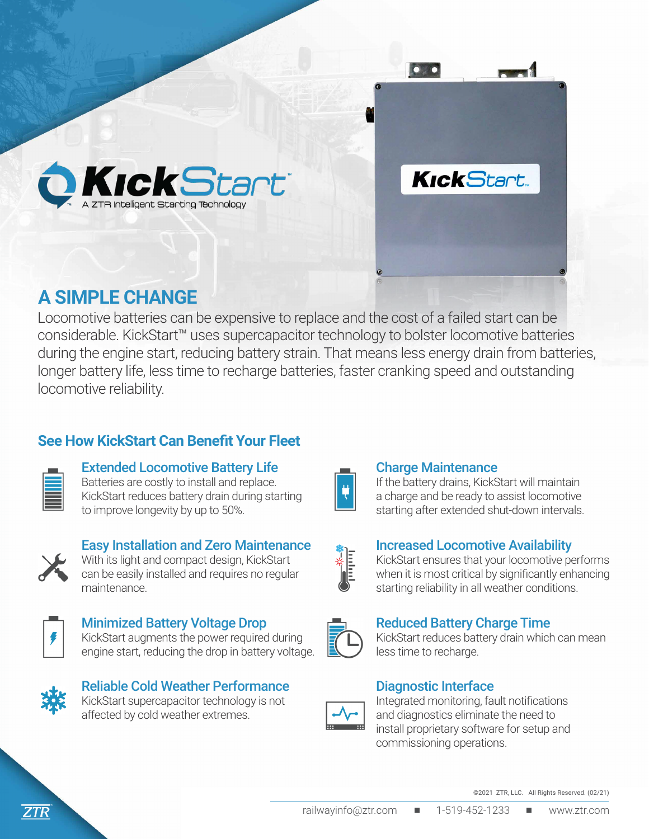

## **A SIMPLE CHANGE**

Locomotive batteries can be expensive to replace and the cost of a failed start can be considerable. KickStart™ uses supercapacitor technology to bolster locomotive batteries during the engine start, reducing battery strain. That means less energy drain from batteries, longer battery life, less time to recharge batteries, faster cranking speed and outstanding locomotive reliability.

### **See How KickStart Can Benefit Your Fleet**

#### Extended Locomotive Battery Life

Batteries are costly to install and replace. KickStart reduces battery drain during starting to improve longevity by up to 50%.



#### Easy Installation and Zero Maintenance With its light and compact design, KickStart

can be easily installed and requires no regular maintenance.



# Minimized Battery Voltage Drop

KickStart augments the power required during engine start, reducing the drop in battery voltage.



#### Reliable Cold Weather Performance KickStart supercapacitor technology is not affected by cold weather extremes.



#### Charge Maintenance

 $\bullet$ 

**KickStart** 

If the battery drains, KickStart will maintain a charge and be ready to assist locomotive starting after extended shut-down intervals.

#### Increased Locomotive Availability

KickStart ensures that your locomotive performs when it is most critical by significantly enhancing starting reliability in all weather conditions.



#### Reduced Battery Charge Time

KickStart reduces battery drain which can mean less time to recharge.

#### Diagnostic Interface



Integrated monitoring, fault notifications and diagnostics eliminate the need to install proprietary software for setup and commissioning operations.